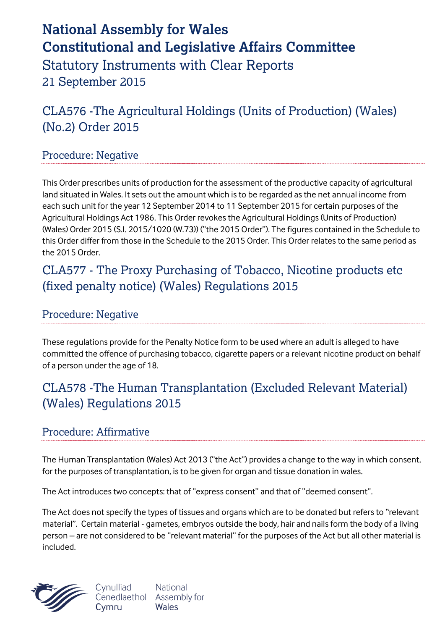# **National Assembly for Wales Constitutional and Legislative Affairs Committee** Statutory Instruments with Clear Reports 21 September 2015

CLA576 -The Agricultural Holdings (Units of Production) (Wales) (No.2) Order 2015

#### Procedure: Negative

This Order prescribes units of production for the assessment of the productive capacity of agricultural land situated in Wales. It sets out the amount which is to be regarded as the net annual income from each such unit for the year 12 September 2014 to 11 September 2015 for certain purposes of the Agricultural Holdings Act 1986. This Order revokes the Agricultural Holdings (Units of Production) (Wales) Order 2015 (S.I. 2015/1020 (W.73)) ("the 2015 Order"). The figures contained in the Schedule to this Order differ from those in the Schedule to the 2015 Order. This Order relates to the same period as the 2015 Order.

## CLA577 - The Proxy Purchasing of Tobacco, Nicotine products etc (fixed penalty notice) (Wales) Regulations 2015

Procedure: Negative

These regulations provide for the Penalty Notice form to be used where an adult is alleged to have committed the offence of purchasing tobacco, cigarette papers or a relevant nicotine product on behalf of a person under the age of 18.

## CLA578 -The Human Transplantation (Excluded Relevant Material) (Wales) Regulations 2015

### Procedure: Affirmative

The Human Transplantation (Wales) Act 2013 ("the Act") provides a change to the way in which consent, for the purposes of transplantation, is to be given for organ and tissue donation in wales.

The Act introduces two concepts: that of "express consent" and that of "deemed consent".

The Act does not specify the types of tissues and organs which are to be donated but refers to "relevant material". Certain material - gametes, embryos outside the body, hair and nails form the body of a living person – are not considered to be "relevant material" for the purposes of the Act but all other material is included.

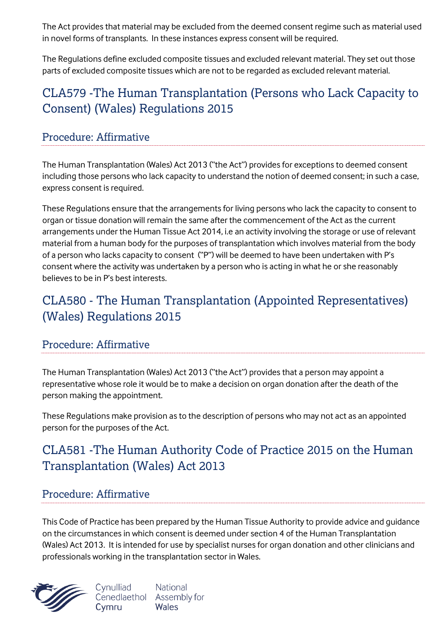The Act provides that material may be excluded from the deemed consent regime such as material used in novel forms of transplants. In these instances express consent will be required.

The Regulations define excluded composite tissues and excluded relevant material. They set out those parts of excluded composite tissues which are not to be regarded as excluded relevant material.

# CLA579 -The Human Transplantation (Persons who Lack Capacity to Consent) (Wales) Regulations 2015

### Procedure: Affirmative

The Human Transplantation (Wales) Act 2013 ("the Act") provides for exceptions to deemed consent including those persons who lack capacity to understand the notion of deemed consent; in such a case, express consent is required.

These Regulations ensure that the arrangements for living persons who lack the capacity to consent to organ or tissue donation will remain the same after the commencement of the Act as the current arrangements under the Human Tissue Act 2014, i.e an activity involving the storage or use of relevant material from a human body for the purposes of transplantation which involves material from the body of a person who lacks capacity to consent ("P") will be deemed to have been undertaken with P's consent where the activity was undertaken by a person who is acting in what he or she reasonably believes to be in P's best interests.

# CLA580 - The Human Transplantation (Appointed Representatives) (Wales) Regulations 2015

### Procedure: Affirmative

The Human Transplantation (Wales) Act 2013 ("the Act") provides that a person may appoint a representative whose role it would be to make a decision on organ donation after the death of the person making the appointment.

These Regulations make provision as to the description of persons who may not act as an appointed person for the purposes of the Act.

# CLA581 -The Human Authority Code of Practice 2015 on the Human Transplantation (Wales) Act 2013

### Procedure: Affirmative

This Code of Practice has been prepared by the Human Tissue Authority to provide advice and guidance on the circumstances in which consent is deemed under section 4 of the Human Transplantation (Wales) Act 2013. It is intended for use by specialist nurses for organ donation and other clinicians and professionals working in the transplantation sector in Wales.



Cynulliad **National** Cenedlaethol Assembly for Wales Cymru